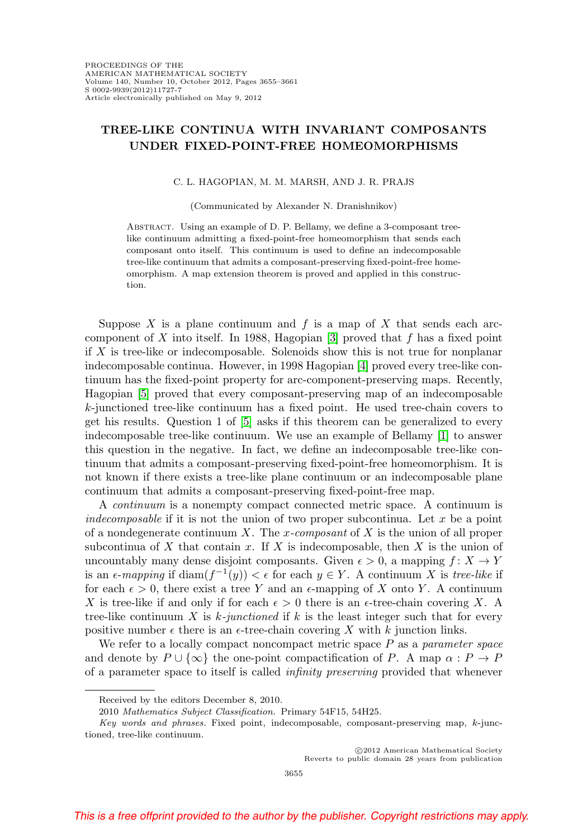## **TREE-LIKE CONTINUA WITH INVARIANT COMPOSANTS UNDER FIXED-POINT-FREE HOMEOMORPHISMS**

## C. L. HAGOPIAN, M. M. MARSH, AND J. R. PRAJS

(Communicated by Alexander N. Dranishnikov)

Abstract. Using an example of D. P. Bellamy, we define a 3-composant treelike continuum admitting a fixed-point-free homeomorphism that sends each composant onto itself. This continuum is used to define an indecomposable tree-like continuum that admits a composant-preserving fixed-point-free homeomorphism. A map extension theorem is proved and applied in this construction.

Suppose  $X$  is a plane continuum and  $f$  is a map of  $X$  that sends each arc-component of X into itself. In 1988, Hagopian [\[3\]](#page-5-0) proved that  $f$  has a fixed point if X is tree-like or indecomposable. Solenoids show this is not true for nonplanar indecomposable continua. However, in 1998 Hagopian [\[4\]](#page-5-1) proved every tree-like continuum has the fixed-point property for arc-component-preserving maps. Recently, Hagopian [\[5\]](#page-5-2) proved that every composant-preserving map of an indecomposable k-junctioned tree-like continuum has a fixed point. He used tree-chain covers to get his results. Question 1 of [\[5\]](#page-5-2) asks if this theorem can be generalized to every indecomposable tree-like continuum. We use an example of Bellamy [\[1\]](#page-5-3) to answer this question in the negative. In fact, we define an indecomposable tree-like continuum that admits a composant-preserving fixed-point-free homeomorphism. It is not known if there exists a tree-like plane continuum or an indecomposable plane continuum that admits a composant-preserving fixed-point-free map.

A continuum is a nonempty compact connected metric space. A continuum is indecomposable if it is not the union of two proper subcontinua. Let  $x$  be a point of a nondegenerate continuum X. The x-composant of X is the union of all proper subcontinua of  $X$  that contain  $x$ . If  $X$  is indecomposable, then  $X$  is the union of uncountably many dense disjoint composants. Given  $\epsilon > 0$ , a mapping  $f: X \to Y$ is an  $\epsilon$ -mapping if  $\text{diam}(f^{-1}(y)) < \epsilon$  for each  $y \in Y$ . A continuum X is tree-like if for each  $\epsilon > 0$ , there exist a tree Y and an  $\epsilon$ -mapping of X onto Y. A continuum X is tree-like if and only if for each  $\epsilon > 0$  there is an  $\epsilon$ -tree-chain covering X. A tree-like continuum  $X$  is  $k$ -junctioned if  $k$  is the least integer such that for every positive number  $\epsilon$  there is an  $\epsilon$ -tree-chain covering X with k junction links.

We refer to a locally compact noncompact metric space  $P$  as a parameter space and denote by  $P \cup \{\infty\}$  the one-point compactification of P. A map  $\alpha : P \to P$ of a parameter space to itself is called infinity preserving provided that whenever

Received by the editors December 8, 2010.

<sup>2010</sup> Mathematics Subject Classification. Primary 54F15, 54H25.

Key words and phrases. Fixed point, indecomposable, composant-preserving map, k-junctioned, tree-like continuum.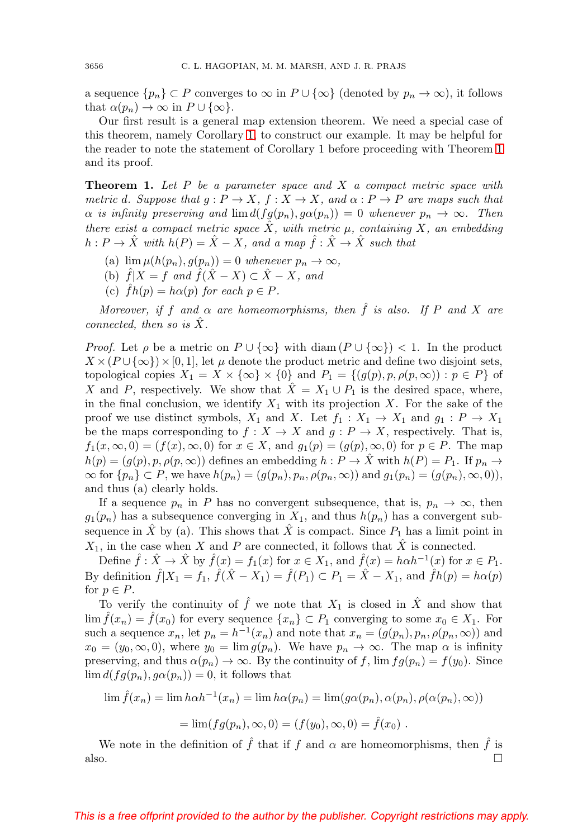a sequence  $\{p_n\} \subset P$  converges to  $\infty$  in  $P \cup \{\infty\}$  (denoted by  $p_n \to \infty$ ), it follows that  $\alpha(p_n) \to \infty$  in  $P \cup \{\infty\}.$ 

Our first result is a general map extension theorem. We need a special case of this theorem, namely Corollary [1,](#page-2-0) to construct our example. It may be helpful for the reader to note the statement of Corollary 1 before proceeding with Theorem [1](#page-1-0) and its proof.

<span id="page-1-0"></span>**Theorem 1.** Let P be a parameter space and X a compact metric space with metric d. Suppose that  $g: P \to X$ ,  $f: X \to X$ , and  $\alpha: P \to P$  are maps such that  $\alpha$  is infinity preserving and  $\lim d(fg(p_n), g\alpha(p_n)) = 0$  whenever  $p_n \to \infty$ . Then there exist a compact metric space  $\hat{X}$ , with metric  $\mu$ , containing X, an embedding  $h: P \to \hat{X}$  with  $h(P) = \hat{X} - X$ , and a map  $\hat{f}: \hat{X} \to \hat{X}$  such that

- (a)  $\lim \mu(h(p_n), g(p_n)) = 0$  whenever  $p_n \to \infty$ ,
- (b)  $\hat{f}|X = f$  and  $\hat{f}(\hat{X} X) \subset \hat{X} X$ , and
- (c)  $fh(p) = h\alpha(p)$  for each  $p \in P$ .

Moreover, if f and  $\alpha$  are homeomorphisms, then  $\hat{f}$  is also. If P and X are connected, then so is  $X$ .

*Proof.* Let  $\rho$  be a metric on  $P \cup \{\infty\}$  with diam  $(P \cup \{\infty\}) < 1$ . In the product  $X \times (P \cup \{\infty\}) \times [0, 1]$ , let  $\mu$  denote the product metric and define two disjoint sets, topological copies  $X_1 = X \times \{\infty\} \times \{0\}$  and  $P_1 = \{(g(p), p, \rho(p, \infty)) : p \in P\}$  of X and P, respectively. We show that  $\hat{X} = X_1 \cup P_1$  is the desired space, where, in the final conclusion, we identify  $X_1$  with its projection X. For the sake of the proof we use distinct symbols,  $X_1$  and  $X$ . Let  $f_1: X_1 \to X_1$  and  $g_1: P \to X_1$ be the maps corresponding to  $f : X \to X$  and  $g : P \to X$ , respectively. That is,  $f_1(x,\infty,0)=(f(x),\infty,0)$  for  $x\in X$ , and  $g_1(p)=(g(p),\infty,0)$  for  $p\in P$ . The map  $h(p)=(g(p), p, \rho(p, \infty))$  defines an embedding  $h : P \to X$  with  $h(P) = P_1$ . If  $p_n \to P_1$  $\infty$  for  $\{p_n\} \subset P$ , we have  $h(p_n)=(g(p_n), p_n, \rho(p_n, \infty))$  and  $g_1(p_n)=(g(p_n), \infty, 0)$ , and thus (a) clearly holds.

If a sequence  $p_n$  in P has no convergent subsequence, that is,  $p_n \to \infty$ , then  $g_1(p_n)$  has a subsequence converging in  $X_1$ , and thus  $h(p_n)$  has a convergent subsequence in  $\tilde{X}$  by (a). This shows that  $\tilde{X}$  is compact. Since  $P_1$  has a limit point in  $X_1$ , in the case when X and P are connected, it follows that  $\hat{X}$  is connected.

Define  $\hat{f} : \hat{X} \to \hat{X}$  by  $\hat{f}(x) = f_1(x)$  for  $x \in X_1$ , and  $\hat{f}(x) = h \alpha h^{-1}(x)$  for  $x \in P_1$ . By definition  $\hat{f}|X_1 = f_1$ ,  $\hat{f}(\hat{X} - X_1) = \hat{f}(P_1) \subset P_1 = \hat{X} - X_1$ , and  $\hat{f}h(p) = h\alpha(p)$ for  $p \in P$ .

To verify the continuity of  $\hat{f}$  we note that  $X_1$  is closed in  $\hat{X}$  and show that  $\lim \hat{f}(x_n) = \hat{f}(x_0)$  for every sequence  $\{x_n\} \subset P_1$  converging to some  $x_0 \in X_1$ . For such a sequence  $x_n$ , let  $p_n = h^{-1}(x_n)$  and note that  $x_n = (g(p_n), p_n, \rho(p_n, \infty))$  and  $x_0 = (y_0, \infty, 0)$ , where  $y_0 = \lim g(p_n)$ . We have  $p_n \to \infty$ . The map  $\alpha$  is infinity preserving, and thus  $\alpha(p_n) \to \infty$ . By the continuity of f,  $\lim f g(p_n) = f(y_0)$ . Since  $\lim d(fg(p_n), g\alpha(p_n)) = 0$ , it follows that

$$
\lim \hat{f}(x_n) = \lim h \alpha h^{-1}(x_n) = \lim h \alpha(p_n) = \lim (g \alpha(p_n), \alpha(p_n), \rho(\alpha(p_n), \infty))
$$

$$
= \lim (fg(p_n), \infty, 0) = (f(y_0), \infty, 0) = \hat{f}(x_0).
$$

We note in the definition of  $\hat{f}$  that if f and  $\alpha$  are homeomorphisms, then  $\hat{f}$  is also.  $\Box$ 

## This is a free offprint provided to the author by the publisher. Copyright restrictions may apply.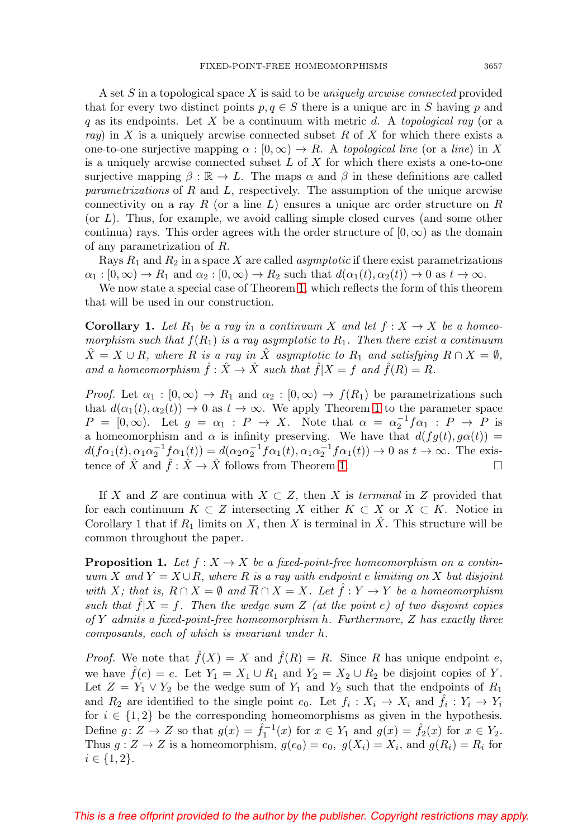A set S in a topological space X is said to be *uniquely arcwise connected* provided that for every two distinct points  $p, q \in S$  there is a unique arc in S having p and q as its endpoints. Let X be a continuum with metric d. A topological ray (or a ray) in X is a uniquely arcwise connected subset R of X for which there exists a one-to-one surjective mapping  $\alpha : [0, \infty) \to R$ . A topological line (or a line) in X is a uniquely arcwise connected subset  $L$  of  $X$  for which there exists a one-to-one surjective mapping  $\beta : \mathbb{R} \to L$ . The maps  $\alpha$  and  $\beta$  in these definitions are called parametrizations of R and L, respectively. The assumption of the unique arcwise connectivity on a ray R (or a line  $L$ ) ensures a unique arc order structure on R  $($ or  $L$ ). Thus, for example, we avoid calling simple closed curves (and some other continua) rays. This order agrees with the order structure of  $[0, \infty)$  as the domain of any parametrization of R.

Rays  $R_1$  and  $R_2$  in a space X are called *asymptotic* if there exist parametrizations  $\alpha_1 : [0, \infty) \to R_1$  and  $\alpha_2 : [0, \infty) \to R_2$  such that  $d(\alpha_1(t), \alpha_2(t)) \to 0$  as  $t \to \infty$ .

We now state a special case of Theorem [1,](#page-1-0) which reflects the form of this theorem that will be used in our construction.

<span id="page-2-0"></span>**Corollary 1.** Let  $R_1$  be a ray in a continuum X and let  $f: X \to X$  be a homeomorphism such that  $f(R_1)$  is a ray asymptotic to  $R_1$ . Then there exist a continuum  $\hat{X} = X \cup R$ , where R is a ray in  $\hat{X}$  asymptotic to  $R_1$  and satisfying  $R \cap X = \emptyset$ , and a homeomorphism  $\hat{f} : \hat{X} \to \hat{X}$  such that  $\hat{f}|X = f$  and  $\hat{f}(R) = R$ .

*Proof.* Let  $\alpha_1 : [0, \infty) \to R_1$  and  $\alpha_2 : [0, \infty) \to f(R_1)$  be parametrizations such that  $d(\alpha_1(t), \alpha_2(t)) \to 0$  as  $t \to \infty$ . We apply Theorem [1](#page-1-0) to the parameter space  $P = [0, \infty)$ . Let  $g = \alpha_1 : P \to X$ . Note that  $\alpha = \alpha_2^{-1} f \alpha_1 : P \to P$  is a homeomorphism and  $\alpha$  is infinity preserving. We have that  $d(fg(t), g\alpha(t)) =$  $d(f\alpha_1(t), \alpha_1\alpha_2^{-1}f\alpha_1(t)) = d(\alpha_2\alpha_2^{-1}f\alpha_1(t), \alpha_1\alpha_2^{-1}f\alpha_1(t)) \to 0$  as  $t \to \infty$ . The existence of  $\hat{X}$  and  $\hat{f}: \hat{X} \to \hat{X}$  follows from Theorem [1.](#page-1-0)  $\Box$ 

If X and Z are continua with  $X \subset Z$ , then X is terminal in Z provided that for each continuum  $K \subset Z$  intersecting X either  $K \subset X$  or  $X \subset K$ . Notice in Corollary 1 that if  $R_1$  limits on X, then X is terminal in  $\ddot{X}$ . This structure will be common throughout the paper.

<span id="page-2-1"></span>**Proposition 1.** Let  $f : X \to X$  be a fixed-point-free homeomorphism on a continuum X and  $Y = X \cup R$ , where R is a ray with endpoint e limiting on X but disjoint with X; that is,  $R \cap X = \emptyset$  and  $\overline{R} \cap X = X$ . Let  $\hat{f} : Y \to Y$  be a homeomorphism such that  $f|X = f$ . Then the wedge sum Z (at the point e) of two disjoint copies of Y admits a fixed-point-free homeomorphism  $h$ . Furthermore,  $Z$  has exactly three composants, each of which is invariant under h.

*Proof.* We note that  $\hat{f}(X) = X$  and  $\hat{f}(R) = R$ . Since R has unique endpoint e, we have  $f(e) = e$ . Let  $Y_1 = X_1 \cup R_1$  and  $Y_2 = X_2 \cup R_2$  be disjoint copies of Y. Let  $Z = Y_1 \vee Y_2$  be the wedge sum of  $Y_1$  and  $Y_2$  such that the endpoints of  $R_1$ and  $R_2$  are identified to the single point  $e_0$ . Let  $f_i : X_i \to X_i$  and  $\tilde{f}_i : Y_i \to Y_i$ for  $i \in \{1,2\}$  be the corresponding homeomorphisms as given in the hypothesis. Define  $g: Z \to Z$  so that  $g(x) = \hat{f}_1^{-1}(x)$  for  $x \in Y_1$  and  $g(x) = \hat{f}_2(x)$  for  $x \in Y_2$ . Thus  $g: Z \to Z$  is a homeomorphism,  $g(e_0) = e_0$ ,  $g(X_i) = X_i$ , and  $g(R_i) = R_i$  for  $i \in \{1, 2\}.$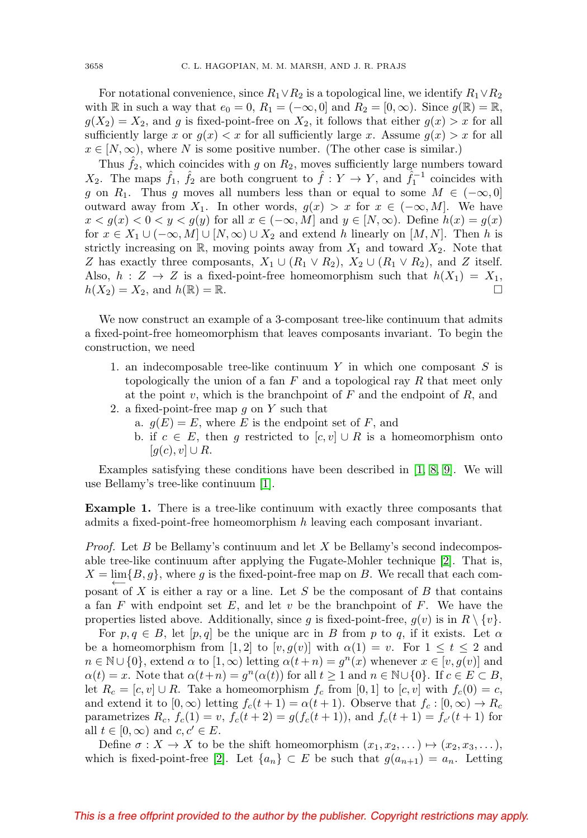For notational convenience, since  $R_1 \vee R_2$  is a topological line, we identify  $R_1 \vee R_2$ with R in such a way that  $e_0 = 0$ ,  $R_1 = (-\infty, 0]$  and  $R_2 = [0, \infty)$ . Since  $g(\mathbb{R}) = \mathbb{R}$ ,  $g(X_2) = X_2$ , and g is fixed-point-free on  $X_2$ , it follows that either  $g(x) > x$  for all sufficiently large x or  $g(x) < x$  for all sufficiently large x. Assume  $g(x) > x$  for all  $x \in [N, \infty)$ , where N is some positive number. (The other case is similar.)

Thus  $\hat{f}_2$ , which coincides with g on  $R_2$ , moves sufficiently large numbers toward  $X_2$ . The maps  $\hat{f}_1$ ,  $\hat{f}_2$  are both congruent to  $\hat{f}: Y \to Y$ , and  $\hat{f}_1^{-1}$  coincides with g on  $R_1$ . Thus g moves all numbers less than or equal to some  $M \in (-\infty, 0]$ outward away from  $X_1$ . In other words,  $g(x) > x$  for  $x \in (-\infty, M]$ . We have  $x < g(x) < 0 < y < g(y)$  for all  $x \in (-\infty, M]$  and  $y \in [N, \infty)$ . Define  $h(x) = g(x)$ for  $x \in X_1 \cup (-\infty, M] \cup [N, \infty) \cup X_2$  and extend h linearly on  $[M, N]$ . Then h is strictly increasing on R, moving points away from  $X_1$  and toward  $X_2$ . Note that Z has exactly three composants,  $X_1 \cup (R_1 \vee R_2)$ ,  $X_2 \cup (R_1 \vee R_2)$ , and Z itself. Also,  $h: Z \to Z$  is a fixed-point-free homeomorphism such that  $h(X_1) = X_1$ ,  $h(X_2) = X_2$ , and  $h(\mathbb{R}) = \mathbb{R}$ .

We now construct an example of a 3-composant tree-like continuum that admits a fixed-point-free homeomorphism that leaves composants invariant. To begin the construction, we need

- 1. an indecomposable tree-like continuum  $Y$  in which one composant  $S$  is topologically the union of a fan  $F$  and a topological ray  $R$  that meet only at the point v, which is the branchpoint of  $F$  and the endpoint of  $R$ , and
- 2. a fixed-point-free map  $q$  on  $Y$  such that
	- a.  $g(E) = E$ , where E is the endpoint set of F, and
	- b. if  $c \in E$ , then g restricted to  $[c, v] \cup R$  is a homeomorphism onto  $[g(c), v] \cup R$ .

Examples satisfying these conditions have been described in  $[1, 8, 9]$  $[1, 8, 9]$  $[1, 8, 9]$ . We will use Bellamy's tree-like continuum [\[1\]](#page-5-3).

<span id="page-3-0"></span>**Example 1.** There is a tree-like continuum with exactly three composants that admits a fixed-point-free homeomorphism h leaving each composant invariant.

*Proof.* Let B be Bellamy's continuum and let X be Bellamy's second indecomposable tree-like continuum after applying the Fugate-Mohler technique [\[2\]](#page-5-6). That is,  $X = \lim_{\longleftarrow} \{B, g\}$ , where g is the fixed-point-free map on B. We recall that each composant of  $X$  is either a ray or a line. Let  $S$  be the composant of  $B$  that contains a fan F with endpoint set E, and let v be the branchpoint of F. We have the properties listed above. Additionally, since g is fixed-point-free,  $g(v)$  is in  $R \setminus \{v\}$ .

For  $p, q \in B$ , let  $[p, q]$  be the unique arc in B from p to q, if it exists. Let  $\alpha$ be a homeomorphism from [1, 2] to  $[v, g(v)]$  with  $\alpha(1) = v$ . For  $1 \le t \le 2$  and  $n \in \mathbb{N} \cup \{0\}$ , extend  $\alpha$  to  $[1,\infty)$  letting  $\alpha(t+n) = g^{n}(x)$  whenever  $x \in [v,g(v)]$  and  $\alpha(t) = x$ . Note that  $\alpha(t+n) = g^n(\alpha(t))$  for all  $t \geq 1$  and  $n \in \mathbb{N} \cup \{0\}$ . If  $c \in E \subset B$ , let  $R_c = [c, v] \cup R$ . Take a homeomorphism  $f_c$  from [0, 1] to  $[c, v]$  with  $f_c(0) = c$ , and extend it to  $[0, \infty)$  letting  $f_c(t + 1) = \alpha(t + 1)$ . Observe that  $f_c : [0, \infty) \to R_c$ parametrizes  $R_c$ ,  $f_c(1) = v$ ,  $f_c(t+2) = g(f_c(t+1))$ , and  $f_c(t+1) = f_{c'}(t+1)$  for all  $t \in [0, \infty)$  and  $c, c' \in E$ .

Define  $\sigma: X \to X$  to be the shift homeomorphism  $(x_1, x_2, \dots) \mapsto (x_2, x_3, \dots),$ which is fixed-point-free [\[2\]](#page-5-6). Let  $\{a_n\} \subset E$  be such that  $g(a_{n+1}) = a_n$ . Letting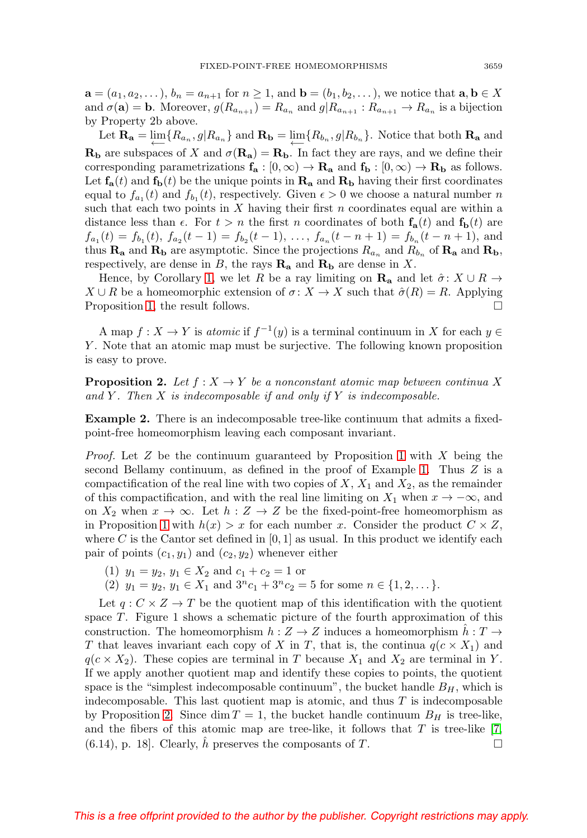$\mathbf{a} = (a_1, a_2, \dots), b_n = a_{n+1}$  for  $n \geq 1$ , and  $\mathbf{b} = (b_1, b_2, \dots)$ , we notice that  $\mathbf{a}, \mathbf{b} \in X$ and  $\sigma(\mathbf{a}) = \mathbf{b}$ . Moreover,  $g(R_{a_{n+1}}) = R_{a_n}$  and  $g(R_{a_{n+1}}) \cdot R_{a_{n+1}} \to R_{a_n}$  is a bijection by Property 2b above.

Let  $\mathbf{R}_a = \lim_{n \to \infty} \{R_{a_n}, g | R_{a_n} \}$  and  $\mathbf{R}_b = \lim_{n \to \infty} \{R_{b_n}, g | R_{b_n} \}$ . Notice that both  $\mathbf{R}_a$  and **Rb** are subspaces of X and  $\sigma(\mathbf{R}_a) = \mathbf{R}_b$ . In fact they are rays, and we define their corresponding parametrizations  $f_a : [0, \infty) \to \mathbf{R}_a$  and  $f_b : [0, \infty) \to \mathbf{R}_b$  as follows. Let  $f_a(t)$  and  $f_b(t)$  be the unique points in  $\mathbf{R}_a$  and  $\mathbf{R}_b$  having their first coordinates equal to  $f_{a_1}(t)$  and  $f_{b_1}(t)$ , respectively. Given  $\epsilon > 0$  we choose a natural number n such that each two points in  $X$  having their first  $n$  coordinates equal are within a distance less than  $\epsilon$ . For  $t > n$  the first n coordinates of both  $f_a(t)$  and  $f_b(t)$  are  $f_{a_1}(t) = f_{b_1}(t), f_{a_2}(t-1) = f_{b_2}(t-1), \ldots, f_{a_n}(t-n+1) = f_{b_n}(t-n+1),$  and thus  $\mathbf{R}_a$  and  $\mathbf{R}_b$  are asymptotic. Since the projections  $R_{a_n}$  and  $R_{b_n}$  of  $\mathbf{R}_a$  and  $\mathbf{R}_b$ , respectively, are dense in B, the rays  $\mathbf{R}_a$  and  $\mathbf{R}_b$  are dense in X.

Hence, by Corollary [1,](#page-2-0) we let R be a ray limiting on  $\mathbf{R}_a$  and let  $\hat{\sigma} : X \cup R \rightarrow$  $X \cup R$  be a homeomorphic extension of  $\sigma: X \to X$  such that  $\hat{\sigma}(R) = R$ . Applying Proposition [1,](#page-2-1) the result follows.

A map  $f: X \to Y$  is atomic if  $f^{-1}(y)$  is a terminal continuum in X for each  $y \in Y$ Y . Note that an atomic map must be surjective. The following known proposition is easy to prove.

<span id="page-4-0"></span>**Proposition 2.** Let  $f : X \to Y$  be a nonconstant atomic map between continua X and Y. Then  $X$  is indecomposable if and only if  $Y$  is indecomposable.

<span id="page-4-1"></span>**Example 2.** There is an indecomposable tree-like continuum that admits a fixedpoint-free homeomorphism leaving each composant invariant.

*Proof.* Let  $Z$  be the continuum guaranteed by Proposition [1](#page-2-1) with  $X$  being the second Bellamy continuum, as defined in the proof of Example [1.](#page-3-0) Thus  $Z$  is a compactification of the real line with two copies of  $X$ ,  $X_1$  and  $X_2$ , as the remainder of this compactification, and with the real line limiting on  $X_1$  when  $x \to -\infty$ , and on  $X_2$  when  $x \to \infty$ . Let  $h : Z \to Z$  be the fixed-point-free homeomorphism as in Proposition [1](#page-2-1) with  $h(x) > x$  for each number x. Consider the product  $C \times Z$ , where C is the Cantor set defined in  $[0, 1]$  as usual. In this product we identify each pair of points  $(c_1, y_1)$  and  $(c_2, y_2)$  whenever either

- (1)  $y_1 = y_2, y_1 \in X_2$  and  $c_1 + c_2 = 1$  or
- (2)  $y_1 = y_2, y_1 \in X_1$  and  $3^n c_1 + 3^n c_2 = 5$  for some  $n \in \{1, 2, \dots\}.$

Let  $q: C \times Z \rightarrow T$  be the quotient map of this identification with the quotient space  $T$ . Figure 1 shows a schematic picture of the fourth approximation of this construction. The homeomorphism  $h: Z \to Z$  induces a homeomorphism  $h: T \to Z$ T that leaves invariant each copy of X in T, that is, the continua  $q(c \times X_1)$  and  $q(c \times X_2)$ . These copies are terminal in T because  $X_1$  and  $X_2$  are terminal in Y. If we apply another quotient map and identify these copies to points, the quotient space is the "simplest indecomposable continuum", the bucket handle  $B_H$ , which is indecomposable. This last quotient map is atomic, and thus  $T$  is indecomposable by Proposition [2.](#page-4-0) Since dim  $T = 1$ , the bucket handle continuum  $B<sub>H</sub>$  is tree-like, and the fibers of this atomic map are tree-like, it follows that  $T$  is tree-like  $[7,$  $(6.14)$ , p. 18. Clearly, h preserves the composants of T.  $\Box$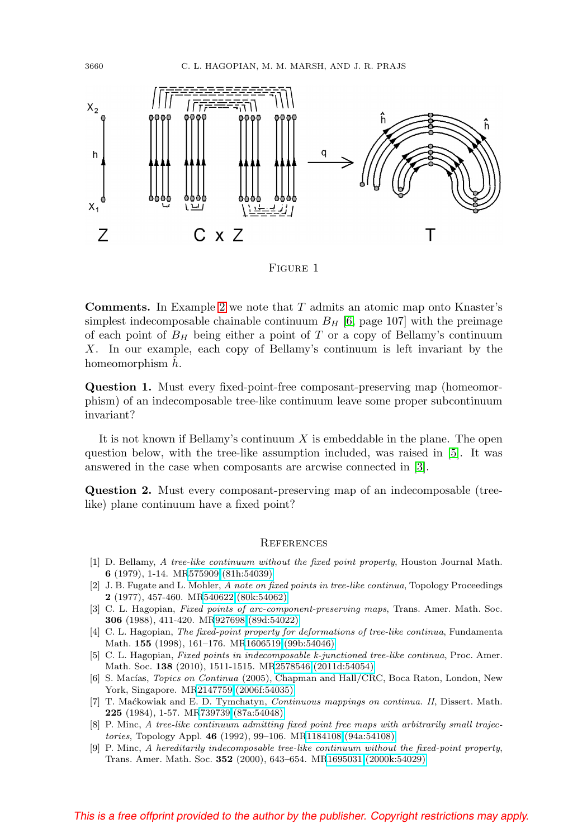

FIGURE 1

**Comments.** In Example [2](#page-4-1) we note that T admits an atomic map onto Knaster's simplest indecomposable chainable continuum  $B_H$  [\[6,](#page-5-8) page 107] with the preimage of each point of  $B_H$  being either a point of T or a copy of Bellamy's continuum X. In our example, each copy of Bellamy's continuum is left invariant by the homeomorphism  $h$ .

**Question 1.** Must every fixed-point-free composant-preserving map (homeomorphism) of an indecomposable tree-like continuum leave some proper subcontinuum invariant?

It is not known if Bellamy's continuum  $X$  is embeddable in the plane. The open question below, with the tree-like assumption included, was raised in [\[5\]](#page-5-2). It was answered in the case when composants are arcwise connected in [\[3\]](#page-5-0).

**Question 2.** Must every composant-preserving map of an indecomposable (treelike) plane continuum have a fixed point?

## **REFERENCES**

- <span id="page-5-3"></span>[1] D. Bellamy, A tree-like continuum without the fixed point property, Houston Journal Math. **6** (1979), 1-14. M[R575909 \(81h:54039\)](http://www.ams.org/mathscinet-getitem?mr=575909)
- <span id="page-5-6"></span>[2] J. B. Fugate and L. Mohler, A note on fixed points in tree-like continua, Topology Proceedings **2** (1977), 457-460. M[R540622 \(80k:54062\)](http://www.ams.org/mathscinet-getitem?mr=540622)
- <span id="page-5-0"></span>[3] C. L. Hagopian, Fixed points of arc-component-preserving maps, Trans. Amer. Math. Soc. **306** (1988), 411-420. M[R927698 \(89d:54022\)](http://www.ams.org/mathscinet-getitem?mr=927698)
- <span id="page-5-1"></span>[4] C. L. Hagopian, The fixed-point property for deformations of tree-like continua, Fundamenta Math. **155** (1998), 161–176. M[R1606519 \(99b:54046\)](http://www.ams.org/mathscinet-getitem?mr=1606519)
- <span id="page-5-2"></span>[5] C. L. Hagopian, Fixed points in indecomposable k-junctioned tree-like continua, Proc. Amer. Math. Soc. **138** (2010), 1511-1515. M[R2578546 \(2011d:54054\)](http://www.ams.org/mathscinet-getitem?mr=2578546)
- <span id="page-5-8"></span>[6] S. Macías, Topics on Continua (2005), Chapman and Hall/CRC, Boca Raton, London, New York, Singapore. M[R2147759 \(2006f:54035\)](http://www.ams.org/mathscinet-getitem?mr=2147759)
- <span id="page-5-7"></span>[7] T. Ma´ckowiak and E. D. Tymchatyn, Continuous mappings on continua. II, Dissert. Math. **225** (1984), 1-57. M[R739739 \(87a:54048\)](http://www.ams.org/mathscinet-getitem?mr=739739)
- <span id="page-5-4"></span>[8] P. Minc, A tree-like continuum admitting fixed point free maps with arbitrarily small trajectories, Topology Appl. **46** (1992), 99–106. M[R1184108 \(94a:54108\)](http://www.ams.org/mathscinet-getitem?mr=1184108)
- <span id="page-5-5"></span>[9] P. Minc, A hereditarily indecomposable tree-like continuum without the fixed-point property, Trans. Amer. Math. Soc. **352** (2000), 643–654. M[R1695031 \(2000k:54029\)](http://www.ams.org/mathscinet-getitem?mr=1695031)